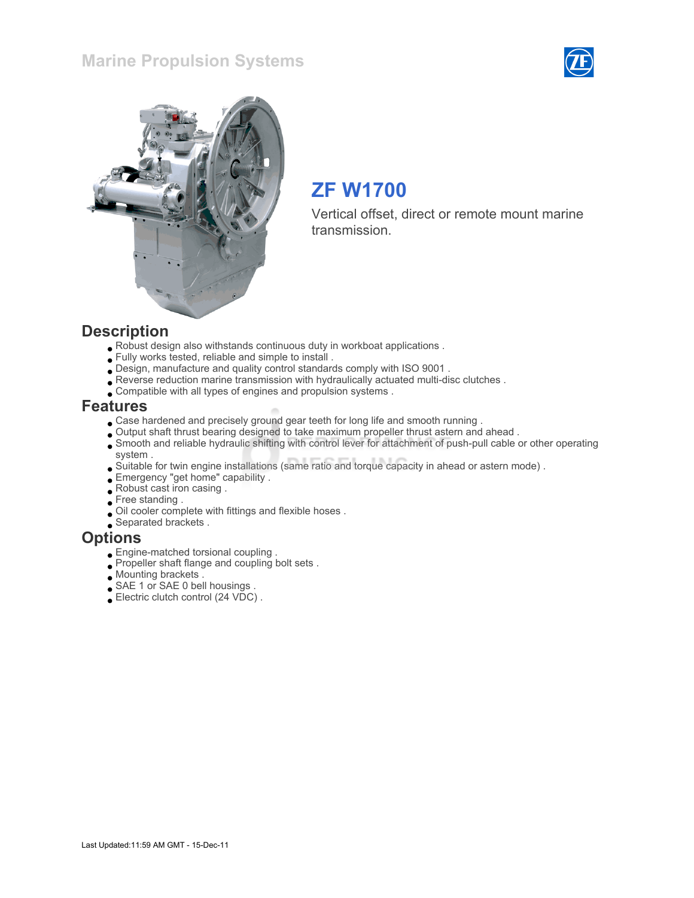## Marine Propulsion Systems





# ZF W1700

Vertical offset, direct or remote mount marine transmission.

#### **Description**

- Robust design also withstands continuous duty in workboat applications .
- Fully works tested, reliable and simple to install .
- Design, manufacture and quality control standards comply with ISO 9001 .
- Reverse reduction marine transmission with hydraulically actuated multi-disc clutches .
- Compatible with all types of engines and propulsion systems .

#### Features

- Case hardened and precisely ground gear teeth for long life and smooth running .
- Output shaft thrust bearing designed to take maximum propeller thrust astern and ahead .
- Smooth and reliable hydraulic shifting with control lever for attachment of push-pull cable or other operating system .
- Suitable for twin engine installations (same ratio and torque capacity in ahead or astern mode) .
- Emergency "get home" capability .
- Robust cast iron casing .
- Free standing.
- Oil cooler complete with fittings and flexible hoses .
- Separated brackets .

#### **Options**

- Engine-matched torsional coupling .
- Propeller shaft flange and coupling bolt sets .
- **Mounting brackets**.
- SAE 1 or SAE 0 bell housings .
- Electric clutch control (24 VDC) .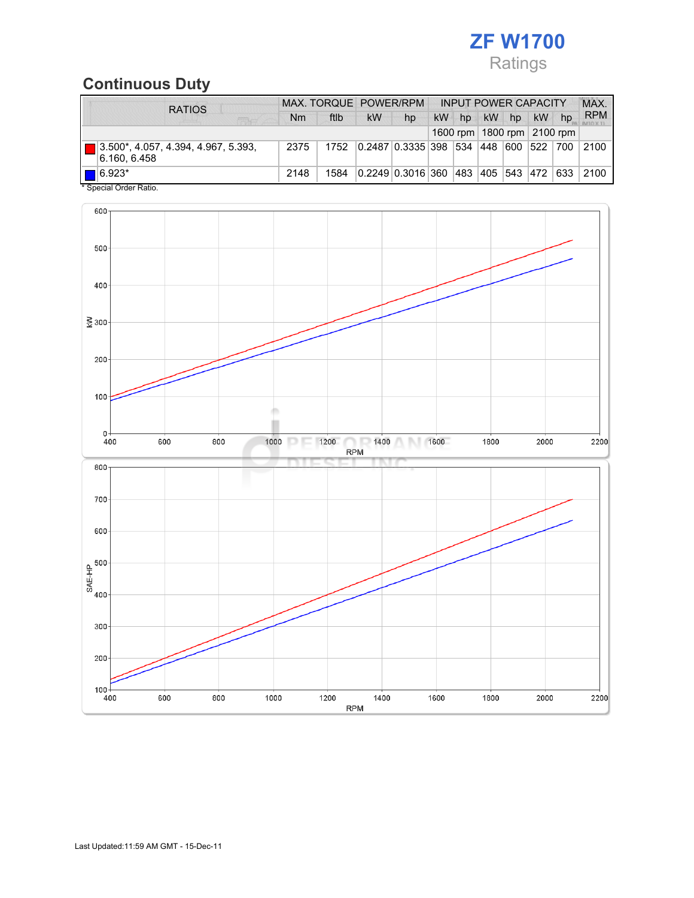

## Continuous Duty

| <b>RATIOS</b>                                       |      | MAX. TORQUE POWER/RPM |    |                        |    | <b>INPUT POWER CAPACITY</b> |           |                 |             |     | <b>MAX</b> |
|-----------------------------------------------------|------|-----------------------|----|------------------------|----|-----------------------------|-----------|-----------------|-------------|-----|------------|
| <b>STORY OF</b>                                     | Nm   | ftlb                  | kW | hp                     | kW | hp                          | <b>kW</b> | hp              | <b>kW</b>   | hp  | <b>RPM</b> |
| 1600 rpm   1800 rpm   2100 rpm                      |      |                       |    |                        |    |                             |           |                 |             |     |            |
| 3.500*, 4.057, 4.394, 4.967, 5.393,<br>6.160, 6.458 | 2375 | 1752                  |    | 0.2487 0.3335 398 534  |    |                             | 448       |                 | 600 522 700 |     | 2100       |
| $\blacksquare$ 6.923*                               | 2148 | 1584                  |    | 0.2249 0.3016 360  483 |    |                             |           | 405   543   472 |             | 633 | 2100       |
| * Special Order Ratio.                              |      |                       |    |                        |    |                             |           |                 |             |     |            |

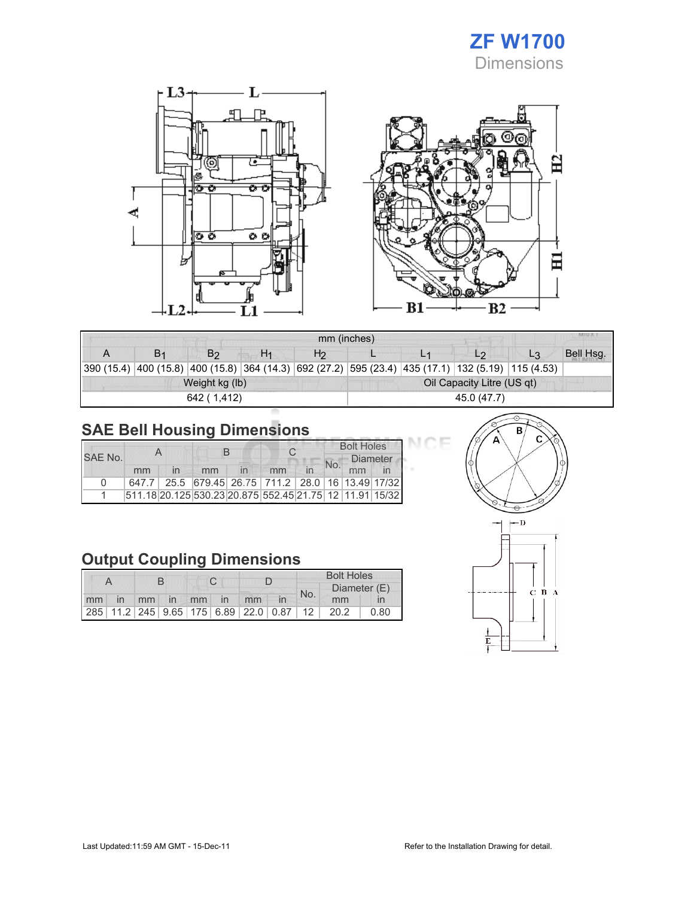



| <b>IVERU AL</b><br>mm (inches) |                |                |                |                |                            |    |                                                                                                            |                |           |  |  |
|--------------------------------|----------------|----------------|----------------|----------------|----------------------------|----|------------------------------------------------------------------------------------------------------------|----------------|-----------|--|--|
| A                              | B <sub>1</sub> | B <sub>2</sub> | H <sub>1</sub> | H <sub>2</sub> |                            | L1 | L <sub>2</sub>                                                                                             | L <sub>3</sub> | Bell Hsg. |  |  |
|                                |                |                |                |                |                            |    | 390 (15.4)  400 (15.8)  400 (15.8)  364 (14.3)  692 (27.2)  595 (23.4)  435 (17.1)  132 (5.19)  115 (4.53) |                |           |  |  |
|                                |                | Weight kg (lb) |                |                | Oil Capacity Litre (US qt) |    |                                                                                                            |                |           |  |  |
|                                |                | 642 (1.412)    |                |                | 45.0 (47.7)                |    |                                                                                                            |                |           |  |  |

JΓ Œ

# SAE Bell Housing Dimensions

|          |    |  |    |  |                                                         |  | <b>Bolt Holes</b> |                 |  |  |
|----------|----|--|----|--|---------------------------------------------------------|--|-------------------|-----------------|--|--|
| SAE No.  |    |  | н  |  |                                                         |  |                   | <b>Diameter</b> |  |  |
|          | mm |  | mm |  | mm                                                      |  |                   |                 |  |  |
| $\Omega$ |    |  |    |  | 647.7 25.5 679.45 26.75 711.2 28.0 16 13.49 17/32       |  |                   |                 |  |  |
|          |    |  |    |  | 511.18 20.125 530.23 20.875 552.45 21.75 12 11.91 15/32 |  |                   |                 |  |  |

## Output Coupling Dimensions

|  |  |  |  |  |  | <b>Bolt Holes</b>       |  |     |                                              |      |  |
|--|--|--|--|--|--|-------------------------|--|-----|----------------------------------------------|------|--|
|  |  |  |  |  |  |                         |  | No. | Diameter (E)                                 |      |  |
|  |  |  |  |  |  | mm in mm in mm in mm in |  |     | mm                                           |      |  |
|  |  |  |  |  |  |                         |  |     | 285 11.2 245 9.65 175 6.89 22.0 0.87 12 20.2 | 0.80 |  |